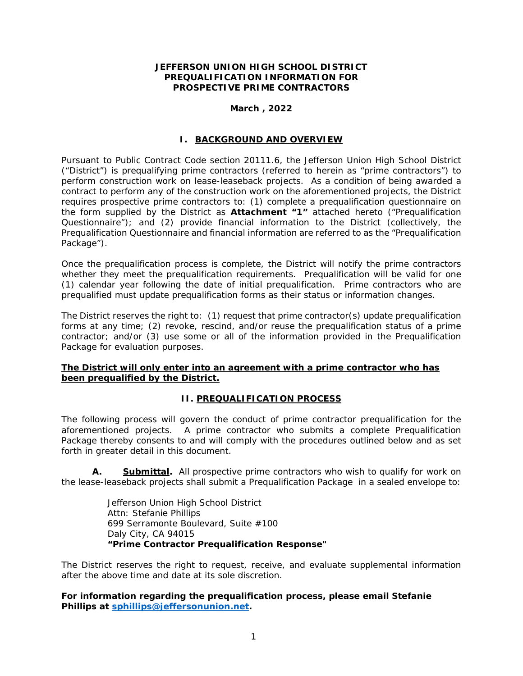#### **JEFFERSON UNION HIGH SCHOOL DISTRICT PREQUALIFICATION INFORMATION FOR PROSPECTIVE PRIME CONTRACTORS**

### **March , 2022**

#### **I. BACKGROUND AND OVERVIEW**

Pursuant to Public Contract Code section 20111.6, the Jefferson Union High School District ("District") is prequalifying prime contractors (referred to herein as "prime contractors") to perform construction work on lease-leaseback projects. As a condition of being awarded a contract to perform any of the construction work on the aforementioned projects, the District requires prospective prime contractors to: (1) complete a prequalification questionnaire on the form supplied by the District as **Attachment "1"** attached hereto ("Prequalification Questionnaire"); and (2) provide financial information to the District (collectively, the Prequalification Questionnaire and financial information are referred to as the "Prequalification Package").

Once the prequalification process is complete, the District will notify the prime contractors whether they meet the prequalification requirements. Prequalification will be valid for one (1) calendar year following the date of initial prequalification. Prime contractors who are prequalified must update prequalification forms as their status or information changes.

The District reserves the right to: (1) request that prime contractor(s) update prequalification forms at any time; (2) revoke, rescind, and/or reuse the prequalification status of a prime contractor; and/or (3) use some or all of the information provided in the Prequalification Package for evaluation purposes.

### **The District will only enter into an agreement with a prime contractor who has been prequalified by the District.**

### **II. PREQUALIFICATION PROCESS**

The following process will govern the conduct of prime contractor prequalification for the aforementioned projects. A prime contractor who submits a complete Prequalification Package thereby consents to and will comply with the procedures outlined below and as set forth in greater detail in this document.

**A. Submittal.** All prospective prime contractors who wish to qualify for work on the lease-leaseback projects shall submit a Prequalification Package in a sealed envelope to:

> Jefferson Union High School District Attn: Stefanie Phillips 699 Serramonte Boulevard, Suite #100 Daly City, CA 94015 **"Prime Contractor Prequalification Response"**

The District reserves the right to request, receive, and evaluate supplemental information after the above time and date at its sole discretion.

**For information regarding the prequalification process, please email Stefanie Phillips at sphillips@jeffersonunion.net.**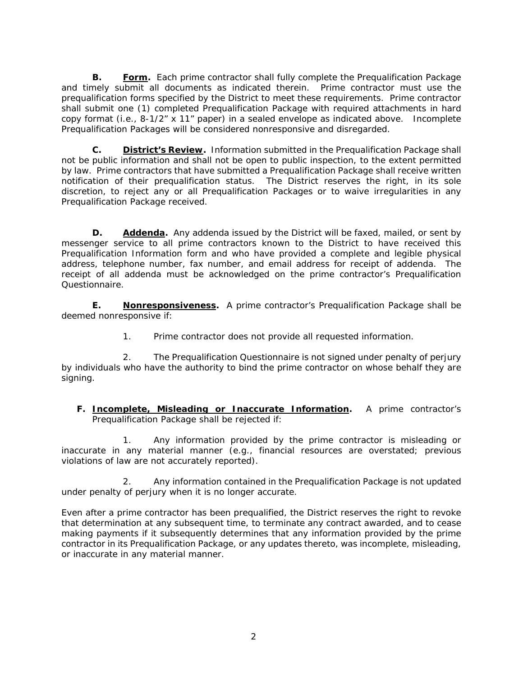**B. Form.** Each prime contractor shall fully complete the Prequalification Package and timely submit all documents as indicated therein. Prime contractor must use the prequalification forms specified by the District to meet these requirements. Prime contractor shall submit one (1) completed Prequalification Package with required attachments in hard copy format (i.e., 8-1/2" x 11" paper) in a sealed envelope as indicated above. Incomplete Prequalification Packages will be considered nonresponsive and disregarded.

**C. District's Review.** Information submitted in the Prequalification Package shall not be public information and shall not be open to public inspection, to the extent permitted by law. Prime contractors that have submitted a Prequalification Package shall receive written notification of their prequalification status. The District reserves the right, in its sole discretion, to reject any or all Prequalification Packages or to waive irregularities in any Prequalification Package received.

**D. Addenda.** Any addenda issued by the District will be faxed, mailed, or sent by messenger service to all prime contractors known to the District to have received this Prequalification Information form and who have provided a complete and legible physical address, telephone number, fax number, and email address for receipt of addenda. The receipt of all addenda must be acknowledged on the prime contractor's Prequalification Questionnaire.

**E. Nonresponsiveness.** A prime contractor's Prequalification Package shall be deemed nonresponsive if:

1. Prime contractor does not provide all requested information.

2. The Prequalification Questionnaire is not signed under penalty of perjury by individuals who have the authority to bind the prime contractor on whose behalf they are signing.

### **F. Incomplete, Misleading or Inaccurate Information.** A prime contractor's Prequalification Package shall be rejected if:

1. Any information provided by the prime contractor is misleading or inaccurate in any material manner (e.g., financial resources are overstated; previous violations of law are not accurately reported).

2. Any information contained in the Prequalification Package is not updated under penalty of perjury when it is no longer accurate.

Even after a prime contractor has been prequalified, the District reserves the right to revoke that determination at any subsequent time, to terminate any contract awarded, and to cease making payments if it subsequently determines that any information provided by the prime contractor in its Prequalification Package, or any updates thereto, was incomplete, misleading, or inaccurate in any material manner.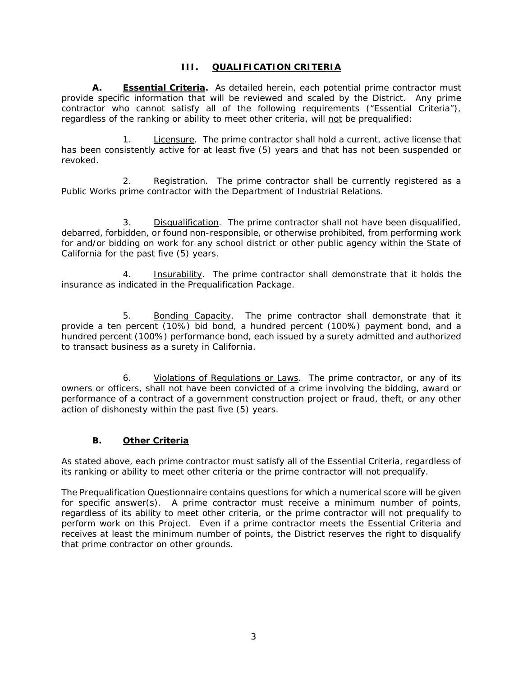### **III. QUALIFICATION CRITERIA**

**A. Essential Criteria.** As detailed herein, each potential prime contractor must provide specific information that will be reviewed and scaled by the District. Any prime contractor who cannot satisfy all of the following requirements ("Essential Criteria"), regardless of the ranking or ability to meet other criteria, will not be prequalified:

Licensure. The prime contractor shall hold a current, active license that has been consistently active for at least five (5) years and that has not been suspended or revoked.

2. Registration. The prime contractor shall be currently registered as a Public Works prime contractor with the Department of Industrial Relations.

3. Disqualification. The prime contractor shall not have been disqualified, debarred, forbidden, or found non-responsible, or otherwise prohibited, from performing work for and/or bidding on work for any school district or other public agency within the State of California for the past five (5) years.

4. **Insurability.** The prime contractor shall demonstrate that it holds the insurance as indicated in the Prequalification Package.

5. Bonding Capacity. The prime contractor shall demonstrate that it provide a ten percent (10%) bid bond, a hundred percent (100%) payment bond, and a hundred percent (100%) performance bond, each issued by a surety admitted and authorized to transact business as a surety in California.

6. Violations of Regulations or Laws. The prime contractor, or any of its owners or officers, shall not have been convicted of a crime involving the bidding, award or performance of a contract of a government construction project or fraud, theft, or any other action of dishonesty within the past five (5) years.

### **B. Other Criteria**

As stated above, each prime contractor must satisfy all of the Essential Criteria, regardless of its ranking or ability to meet other criteria or the prime contractor will not prequalify.

The Prequalification Questionnaire contains questions for which a numerical score will be given for specific answer(s). A prime contractor must receive a minimum number of points, regardless of its ability to meet other criteria, or the prime contractor will not prequalify to perform work on this Project. Even if a prime contractor meets the Essential Criteria and receives at least the minimum number of points, the District reserves the right to disqualify that prime contractor on other grounds.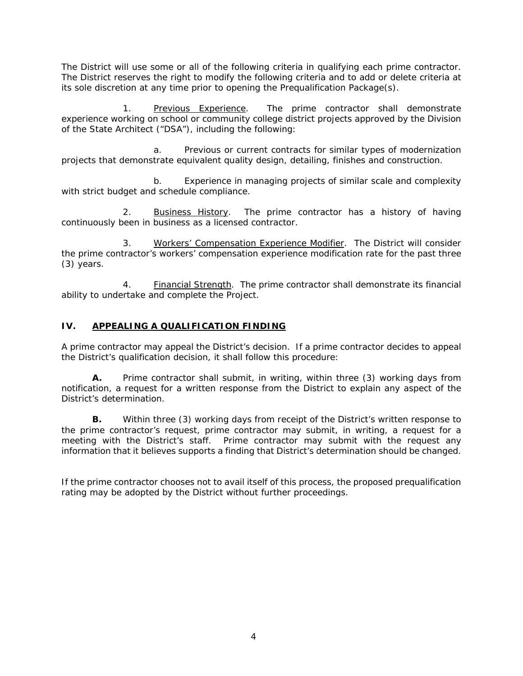The District will use some or all of the following criteria in qualifying each prime contractor. The District reserves the right to modify the following criteria and to add or delete criteria at its sole discretion at any time prior to opening the Prequalification Package(s).

1. Previous Experience. The prime contractor shall demonstrate experience working on school or community college district projects approved by the Division of the State Architect ("DSA"), including the following:

a. Previous or current contracts for similar types of modernization projects that demonstrate equivalent quality design, detailing, finishes and construction.

b. Experience in managing projects of similar scale and complexity with strict budget and schedule compliance.

2. Business History. The prime contractor has a history of having continuously been in business as a licensed contractor.

3. Workers' Compensation Experience Modifier. The District will consider the prime contractor's workers' compensation experience modification rate for the past three (3) years.

4. **Financial Strength.** The prime contractor shall demonstrate its financial ability to undertake and complete the Project.

## **IV. APPEALING A QUALIFICATION FINDING**

A prime contractor may appeal the District's decision. If a prime contractor decides to appeal the District's qualification decision, it shall follow this procedure:

**A.** Prime contractor shall submit, in writing, within three (3) working days from notification, a request for a written response from the District to explain any aspect of the District's determination.

**B.** Within three (3) working days from receipt of the District's written response to the prime contractor's request, prime contractor may submit, in writing, a request for a meeting with the District's staff. Prime contractor may submit with the request any information that it believes supports a finding that District's determination should be changed.

If the prime contractor chooses not to avail itself of this process, the proposed prequalification rating may be adopted by the District without further proceedings.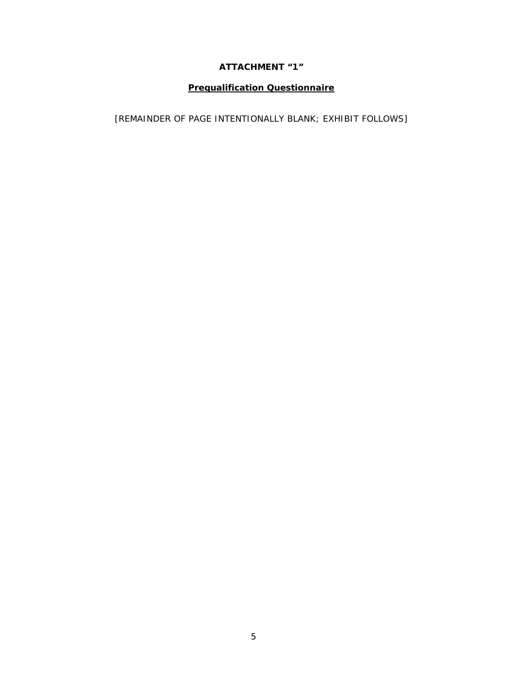# **ATTACHMENT "1"**

# **Prequalification Questionnaire**

[REMAINDER OF PAGE INTENTIONALLY BLANK; EXHIBIT FOLLOWS]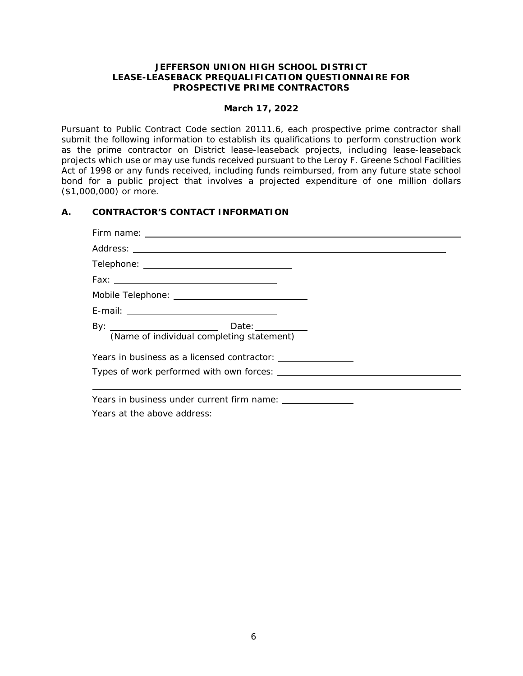### **JEFFERSON UNION HIGH SCHOOL DISTRICT LEASE-LEASEBACK PREQUALIFICATION QUESTIONNAIRE FOR PROSPECTIVE PRIME CONTRACTORS**

### **March 17, 2022**

Pursuant to Public Contract Code section 20111.6, each prospective prime contractor shall submit the following information to establish its qualifications to perform construction work as the prime contractor on District lease-leaseback projects, including lease-leaseback projects which use or may use funds received pursuant to the Leroy F. Greene School Facilities Act of 1998 or any funds received, including funds reimbursed, from any future state school bond for a public project that involves a projected expenditure of one million dollars (\$1,000,000) or more.

### **A. CONTRACTOR'S CONTACT INFORMATION**

| (Name of individual completing statement) |  |
|-------------------------------------------|--|
|                                           |  |
|                                           |  |
|                                           |  |
|                                           |  |
|                                           |  |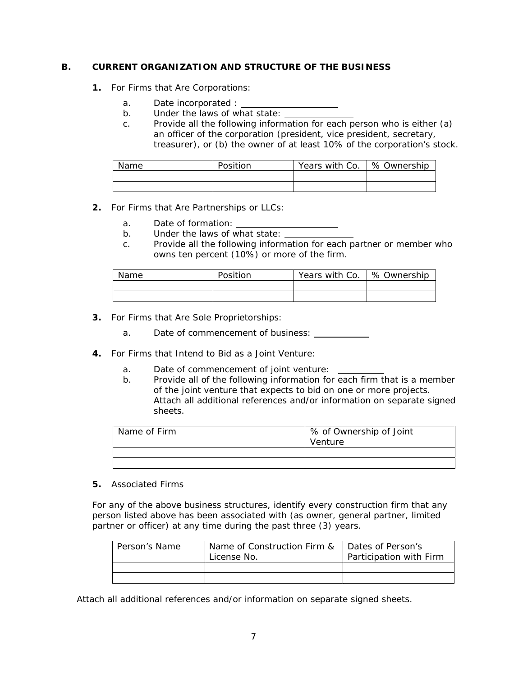### **B. CURRENT ORGANIZATION AND STRUCTURE OF THE BUSINESS**

- **1.** For Firms that Are Corporations:
	- a. Date incorporated :
	- b. Under the laws of what state:
	- c. Provide all the following information for each person who is either (a) an officer of the corporation (president, vice president, secretary, treasurer), or (b) the owner of at least 10% of the corporation's stock.

| Name | Position | Years with Co.   % Ownership |  |
|------|----------|------------------------------|--|
|      |          |                              |  |
|      |          |                              |  |

- **2.** For Firms that Are Partnerships or LLCs:
	- a. Date of formation:
	- b. Under the laws of what state:
	- c. Provide all the following information for each partner or member who owns ten percent (10%) or more of the firm.

| Name | Position | Years with Co. | ∣% Ownership |
|------|----------|----------------|--------------|
|      |          |                |              |
|      |          |                |              |

- **3.** For Firms that Are Sole Proprietorships:
	- a. Date of commencement of business:
- **4.** For Firms that Intend to Bid as a Joint Venture:
	- a. Date of commencement of joint venture:
	- b. Provide all of the following information for each firm that is a member of the joint venture that expects to bid on one or more projects. Attach all additional references and/or information on separate signed sheets.

| Name of Firm | % of Ownership of Joint |
|--------------|-------------------------|
|              | Venture                 |
|              |                         |
|              |                         |

**5.** Associated Firms

For any of the above business structures, identify every construction firm that any person listed above has been associated with (as owner, general partner, limited partner or officer) at any time during the past three (3) years.

| Person's Name | Name of Construction Firm &<br>License No. | Dates of Person's<br>Participation with Firm |
|---------------|--------------------------------------------|----------------------------------------------|
|               |                                            |                                              |
|               |                                            |                                              |

Attach all additional references and/or information on separate signed sheets.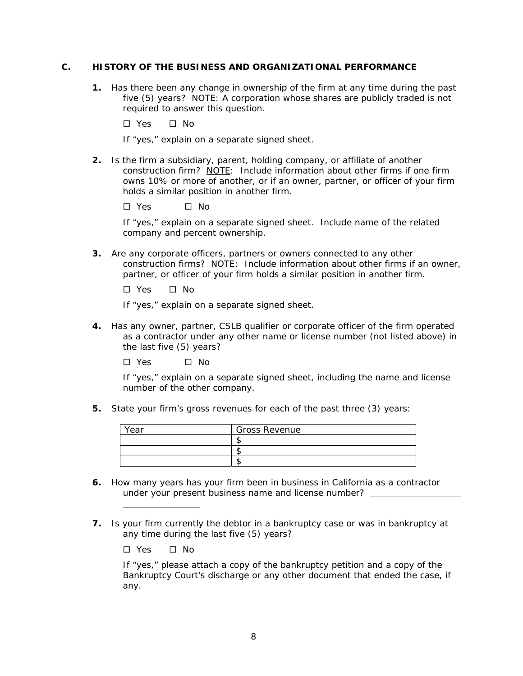#### **C. HISTORY OF THE BUSINESS AND ORGANIZATIONAL PERFORMANCE**

- **1.** Has there been any change in ownership of the firm at any time during the past five (5) years? NOTE: A corporation whose shares are publicly traded is not required to answer this question.
	- □ Yes □ No
	- If "yes," explain on a separate signed sheet.
- **2.** Is the firm a subsidiary, parent, holding company, or affiliate of another construction firm? NOTE: Include information about other firms if one firm owns 10% or more of another, or if an owner, partner, or officer of your firm holds a similar position in another firm.

Yes No

If "yes," explain on a separate signed sheet. Include name of the related company and percent ownership.

**3.** Are any corporate officers, partners or owners connected to any other construction firms? NOTE: Include information about other firms if an owner, partner, or officer of your firm holds a similar position in another firm.

 $\Box$  Yes  $\Box$  No.

If "yes," explain on a separate signed sheet.

**4.** Has any owner, partner, CSLB qualifier or corporate officer of the firm operated as a contractor under any other name or license number (not listed above) in the last five (5) years?

 $\square$  Yes  $\square$  No

If "yes," explain on a separate signed sheet, including the name and license number of the other company.

**5.** State your firm's gross revenues for each of the past three (3) years:

| Year | <b>Gross Revenue</b> |
|------|----------------------|
|      |                      |
|      |                      |
|      |                      |

- **6.** How many years has your firm been in business in California as a contractor under your present business name and license number?
- **7.** Is your firm currently the debtor in a bankruptcy case or was in bankruptcy at any time during the last five (5) years?

□ Yes □ No

l

If "yes," please attach a copy of the bankruptcy petition and a copy of the Bankruptcy Court's discharge or any other document that ended the case, if any.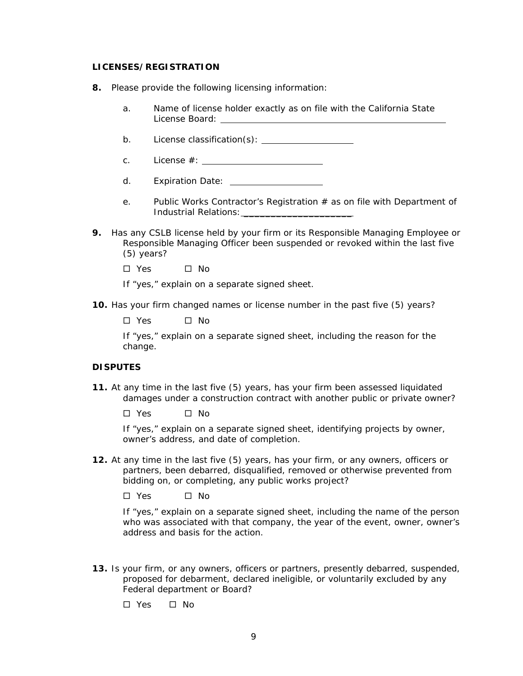#### **LICENSES/REGISTRATION**

- **8.** Please provide the following licensing information:
	- a. Name of license holder exactly as on file with the California State License Board:
	- b. License classification(s):
	- c. License #:
	- d. Expiration Date:
	- e. Public Works Contractor's Registration # as on file with Department of Industrial Relations: \_\_\_\_\_\_\_\_\_\_\_\_\_\_\_\_\_\_\_\_
- **9.** Has any CSLB license held by your firm or its Responsible Managing Employee or Responsible Managing Officer been suspended or revoked within the last five (5) years?
	- $\Box$  Yes  $\Box$  No.

If "yes," explain on a separate signed sheet.

**10.** Has your firm changed names or license number in the past five (5) years?

 $\square$  Yes  $\square$  No

If "yes," explain on a separate signed sheet, including the reason for the change.

#### **DISPUTES**

- **11.** At any time in the last five (5) years, has your firm been assessed liquidated damages under a construction contract with another public or private owner?
	- $\square$  Yes  $\square$  No

If "yes," explain on a separate signed sheet, identifying projects by owner, owner's address, and date of completion.

**12.** At any time in the last five (5) years, has your firm, or any owners, officers or partners, been debarred, disqualified, removed or otherwise prevented from bidding on, or completing, any public works project?

 $\square$  Yes  $\square$  No

If "yes," explain on a separate signed sheet, including the name of the person who was associated with that company, the year of the event, owner, owner's address and basis for the action.

**13.** Is your firm, or any owners, officers or partners, presently debarred, suspended, proposed for debarment, declared ineligible, or voluntarily excluded by any Federal department or Board?

 $\square$  Yes  $\square$  No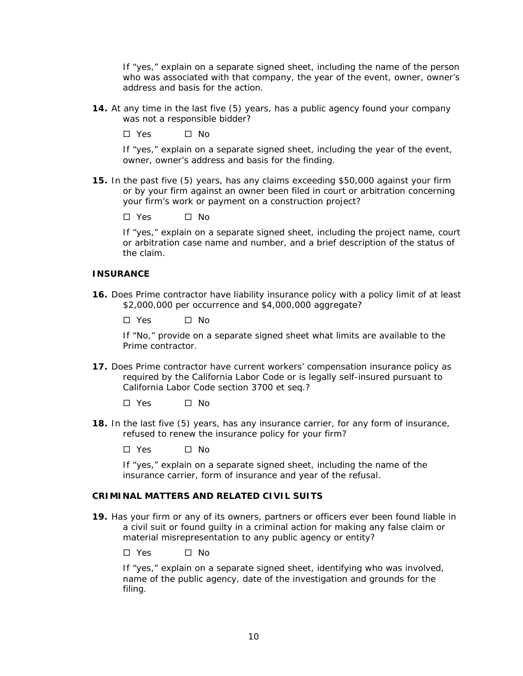If "yes," explain on a separate signed sheet, including the name of the person who was associated with that company, the year of the event, owner, owner's address and basis for the action.

**14.** At any time in the last five (5) years, has a public agency found your company was not a responsible bidder?

 $\Box$  Yes  $\Box$  No.

If "yes," explain on a separate signed sheet, including the year of the event, owner, owner's address and basis for the finding.

- **15.** In the past five (5) years, has any claims exceeding \$50,000 against your firm or by your firm against an owner been filed in court or arbitration concerning your firm's work or payment on a construction project?
	- $\square$  Yes  $\square$  No

If "yes," explain on a separate signed sheet, including the project name, court or arbitration case name and number, and a brief description of the status of the claim.

#### **INSURANCE**

**16.** Does Prime contractor have liability insurance policy with a policy limit of at least \$2,000,000 per occurrence and \$4,000,000 aggregate?

Yes No

If "No," provide on a separate signed sheet what limits are available to the Prime contractor.

**17.** Does Prime contractor have current workers' compensation insurance policy as required by the California Labor Code or is legally self-insured pursuant to California Labor Code section 3700 *et seq.*?

 $\Box$  Yes  $\Box$  No.

- **18.** In the last five (5) years, has any insurance carrier, for any form of insurance, refused to renew the insurance policy for your firm?
	- $\Box$  Yes  $\Box$  No.

If "yes," explain on a separate signed sheet, including the name of the insurance carrier, form of insurance and year of the refusal.

#### **CRIMINAL MATTERS AND RELATED CIVIL SUITS**

**19.** Has your firm or any of its owners, partners or officers ever been found liable in a civil suit or found guilty in a criminal action for making any false claim or material misrepresentation to any public agency or entity?

 $\Box$  Yes  $\Box$  No.

If "yes," explain on a separate signed sheet, identifying who was involved, name of the public agency, date of the investigation and grounds for the filing.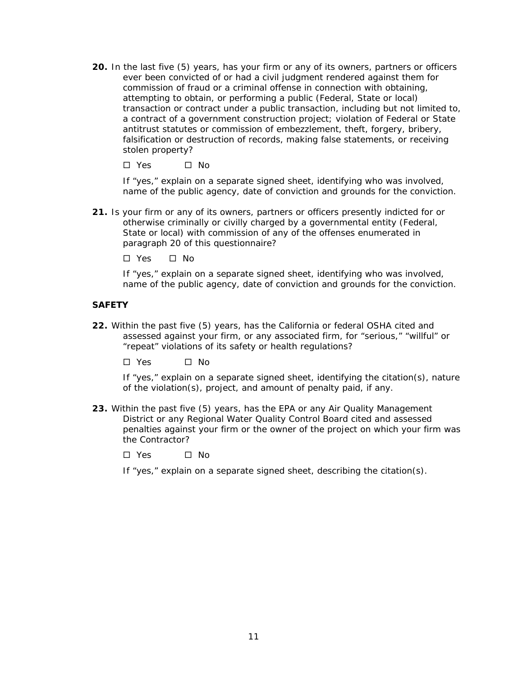**20.** In the last five (5) years, has your firm or any of its owners, partners or officers ever been convicted of or had a civil judgment rendered against them for commission of fraud or a criminal offense in connection with obtaining, attempting to obtain, or performing a public (Federal, State or local) transaction or contract under a public transaction, including but not limited to, a contract of a government construction project; violation of Federal or State antitrust statutes or commission of embezzlement, theft, forgery, bribery, falsification or destruction of records, making false statements, or receiving stolen property?

 $\Box$  Yes  $\Box$  No.

If "yes," explain on a separate signed sheet, identifying who was involved, name of the public agency, date of conviction and grounds for the conviction.

**21.** Is your firm or any of its owners, partners or officers presently indicted for or otherwise criminally or civilly charged by a governmental entity (Federal, State or local) with commission of any of the offenses enumerated in paragraph 20 of this questionnaire?

□ Yes □ No

If "yes," explain on a separate signed sheet, identifying who was involved, name of the public agency, date of conviction and grounds for the conviction.

#### **SAFETY**

**22.** Within the past five (5) years, has the California or federal OSHA cited and assessed against your firm, or any associated firm, for "serious," "willful" or "repeat" violations of its safety or health regulations?

□ Yes □ No

If "yes," explain on a separate signed sheet, identifying the citation(s), nature of the violation(s), project, and amount of penalty paid, if any.

- **23.** Within the past five (5) years, has the EPA or any Air Quality Management District or any Regional Water Quality Control Board cited and assessed penalties against your firm or the owner of the project on which your firm was the Contractor?
	- Yes No

If "yes," explain on a separate signed sheet, describing the citation(s).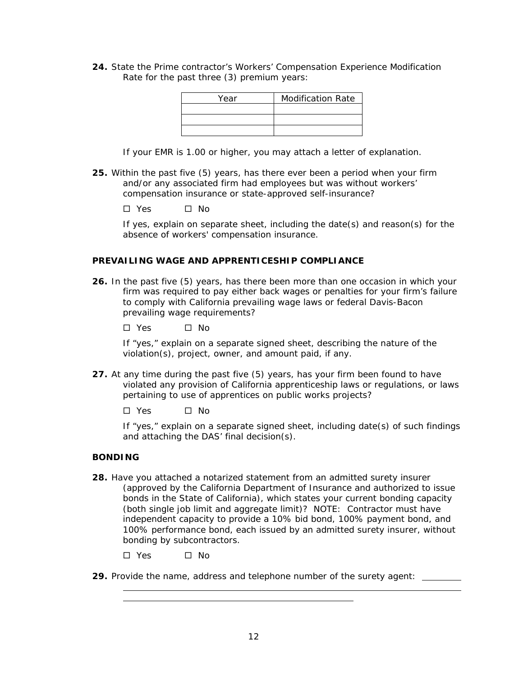**24.** State the Prime contractor's Workers' Compensation Experience Modification Rate for the past three (3) premium years:

| Year | <b>Modification Rate</b> |
|------|--------------------------|
|      |                          |
|      |                          |
|      |                          |

If your EMR is 1.00 or higher, you may attach a letter of explanation.

- **25.** Within the past five (5) years, has there ever been a period when your firm and/or any associated firm had employees but was without workers' compensation insurance or state-approved self-insurance?
	- $\Box$  Yes  $\Box$  No

If yes, explain on separate sheet, including the date(s) and reason(s) for the absence of workers' compensation insurance.

### **PREVAILING WAGE AND APPRENTICESHIP COMPLIANCE**

**26.** In the past five (5) years, has there been more than one occasion in which your firm was required to pay either back wages or penalties for your firm's failure to comply with California prevailing wage laws or federal Davis-Bacon prevailing wage requirements?

 $\Box$  Yes  $\Box$  No.

If "yes," explain on a separate signed sheet, describing the nature of the violation(s), project, owner, and amount paid, if any.

- **27.** At any time during the past five (5) years, has your firm been found to have violated any provision of California apprenticeship laws or regulations, or laws pertaining to use of apprentices on public works projects?
	- $\Box$  Yes  $\Box$  No.

If "yes," explain on a separate signed sheet, including date(s) of such findings and attaching the DAS' final decision(s).

#### **BONDING**

l l

- **28.** Have you attached a notarized statement from an admitted surety insurer (approved by the California Department of Insurance and authorized to issue bonds in the State of California), which states your current bonding capacity (both single job limit and aggregate limit)? NOTE: Contractor must have independent capacity to provide a 10% bid bond, 100% payment bond, and 100% performance bond, each issued by an admitted surety insurer, without bonding by subcontractors.
	- $\square$  Yes  $\square$  No
- **29.** Provide the name, address and telephone number of the surety agent: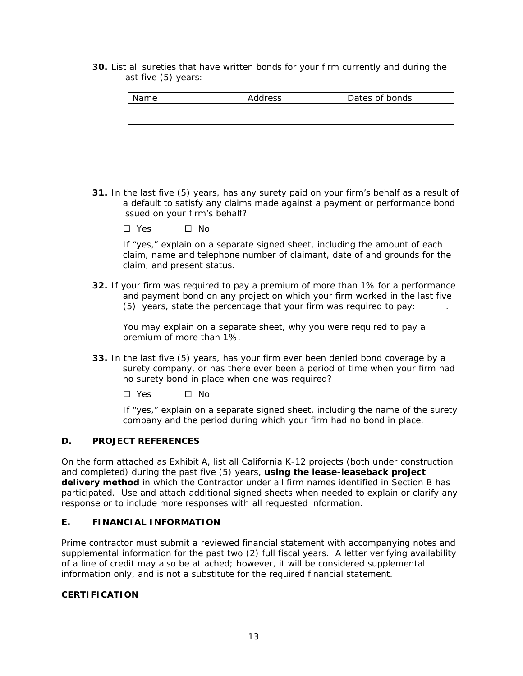**30.** List all sureties that have written bonds for your firm currently and during the last five (5) years:

| Name | Address | Dates of bonds |
|------|---------|----------------|
|      |         |                |
|      |         |                |
|      |         |                |
|      |         |                |
|      |         |                |

- **31.** In the last five (5) years, has any surety paid on your firm's behalf as a result of a default to satisfy any claims made against a payment or performance bond issued on your firm's behalf?
	- $\square$  Yes  $\square$  No

If "yes," explain on a separate signed sheet, including the amount of each claim, name and telephone number of claimant, date of and grounds for the claim, and present status.

**32.** If your firm was required to pay a premium of more than 1% for a performance and payment bond on any project on which your firm worked in the last five (5) years, state the percentage that your firm was required to pay: .

You may explain on a separate sheet, why you were required to pay a premium of more than 1%.

- **33.** In the last five (5) years, has your firm ever been denied bond coverage by a surety company, or has there ever been a period of time when your firm had no surety bond in place when one was required?
	- $\Box$  Yes  $\Box$  No.

If "yes," explain on a separate signed sheet, including the name of the surety company and the period during which your firm had no bond in place.

### **D. PROJECT REFERENCES**

On the form attached as Exhibit A, list all California K-12 projects (both under construction and completed) during the past five (5) years, **using the lease-leaseback project delivery method** in which the Contractor under all firm names identified in Section B has participated. Use and attach additional signed sheets when needed to explain or clarify any response or to include more responses with all requested information.

## **E. FINANCIAL INFORMATION**

Prime contractor must submit a reviewed financial statement with accompanying notes and supplemental information for the past two (2) full fiscal years. A letter verifying availability of a line of credit may also be attached; however, it will be considered supplemental information only, and is not a substitute for the required financial statement.

### **CERTIFICATION**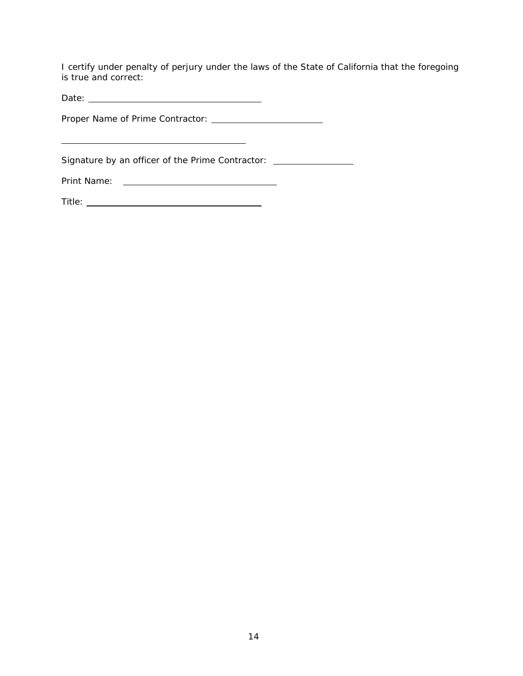I certify under penalty of perjury under the laws of the State of California that the foregoing is true and correct:

Date:

Proper Name of Prime Contractor:

Signature by an officer of the Prime Contractor:

Print Name:

l

| Title: |
|--------|
|--------|